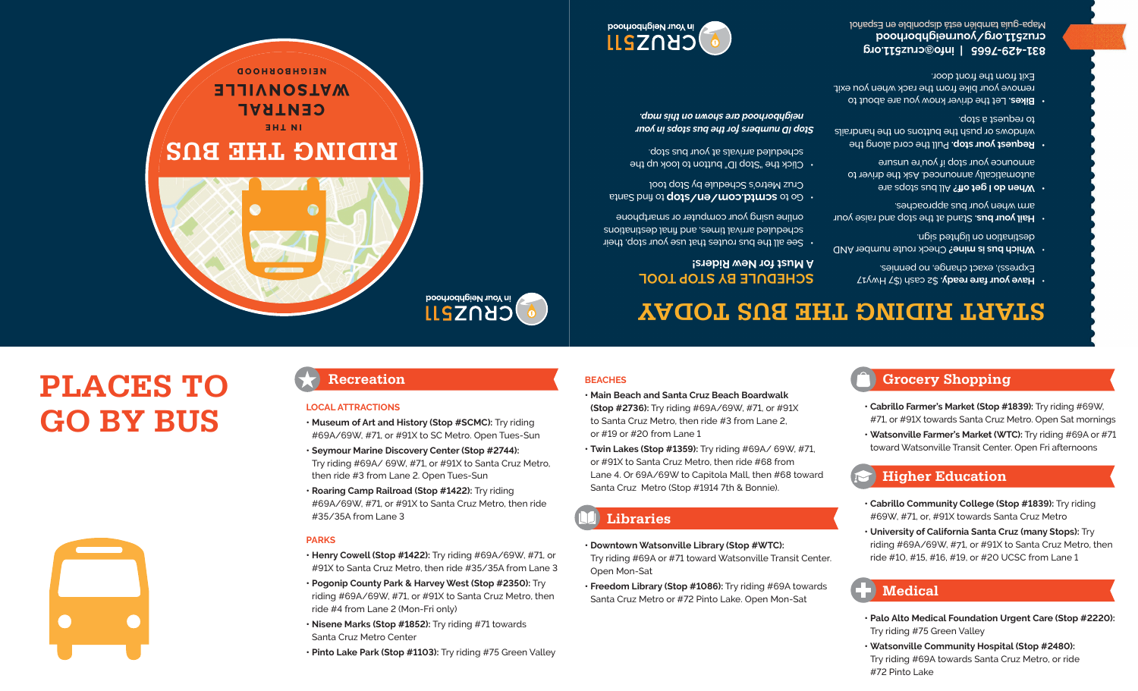- **• Palo Alto Medical Foundation Urgent Care (Stop #2220):** Try riding #75 Green Valley
- **• Watsonville Community Hospital (Stop #2480):** Try riding #69A towards Santa Cruz Metro, or ride #72 Pinto Lake



 **Medical**

**• Cabrillo Community College (Stop #1839):** Try riding #69W, #71, or, #91X towards Santa Cruz Metro

**• University of California Santa Cruz (many Stops):** Try riding #69A/69W, #71, or #91X to Santa Cruz Metro, then ride #10, #15, #16, #19, or #20 UCSC from Lane 1

- **Higher Education**
- #71, or #91X towards Santa Cruz Metro. Open Sat mornings **• Watsonville Farmer's Market (WTC):** Try riding #69A or #71 toward Watsonville Transit Center. Open Fri afternoons

**• Cabrillo Farmer's Market (Stop #1839):** Try riding #69W,

# **Grocery Shopping**

**START RIDING THE BUS TODAY**

### **SCHEDULE BY STOP TOOL A Must for New Riders!**

- $\cdot$  See all the bus routes that use your stop, their suoitenited arrival times, and final destinations online using your computer or smartphone
- o to **be mtd.com/en/stop** of on a state Cruz Metro's Schedule by Stop tool
- $\cdot$  Click the "Stop ID" button to look up the scheduled arrivals at your bus stop.

### *Stop ID numbers for the bus stops in your neighborhood are shown on this map.*





# **NEIGHBORHOOD BUAILLEE CENTRAL IN THE RIDING THE BUS** in Your Neighborhood

# **PLACES TO GO BY BUS**

### **LOCAL ATTRACTIONS**

#35/35A from Lane 3

**PARKS**

### **• Museum of Art and History (Stop #SCMC):** Try riding #69A/69W, #71, or #91X to SC Metro. Open Tues-Sun

**• Henry Cowell (Stop #1422):** Try riding #69A/69W, #71, or #91X to Santa Cruz Metro, then ride #35/35A from Lane 3 **• Pogonip County Park & Harvey West (Stop #2350):** Try riding #69A/69W, #71, or #91X to Santa Cruz Metro, then

**• Pinto Lake Park (Stop #1103):** Try riding #75 Green Valley

**• Nisene Marks (Stop #1852):** Try riding #71 towards

**• Seymour Marine Discovery Center (Stop #2744):** Try riding #69A/ 69W, #71, or #91X to Santa Cruz Metro,

then ride #3 from Lane 2. Open Tues-Sun **• Roaring Camp Railroad (Stop #1422):** Try riding #69A/69W, #71, or #91X to Santa Cruz Metro, then ride

ride #4 from Lane 2 (Mon-Fri only)

Santa Cruz Metro Center

## **Recreation**



CRUZ511

## **BEACHES • Main Beach and Santa Cruz Beach Boardwalk**

or #19 or #20 from Lane 1

 **Libraries**

Open Mon-Sat

**(Stop #2736):** Try riding #69A/69W, #71, or #91X to Santa Cruz Metro, then ride #3 from Lane 2,

**• Twin Lakes (Stop #1359):** Try riding #69A/ 69W, #71, or #91X to Santa Cruz Metro, then ride #68 from Lane 4. Or 69A/69W to Capitola Mall, then #68 toward

Santa Cruz Metro (Stop #1914 7th & Bonnie).

**• Downtown Watsonville Library (Stop #WTC):** 

Try riding #69A or #71 toward Watsonville Transit Center.

**• Freedom Library (Stop #1086):** Try riding #69A towards Santa Cruz Metro or #72 Pinto Lake. Open Mon-Sat



- *e* **have yout tare ready.** As cash (\$7 HWY17 Express), exact change, no pennies.
- **Which bus is mine?** Check route number AND destination on lighting sign.
- **hail your bus.** Stand at the stop and raise your arm when your bus approaches.
- **here of 18 bus paradox of**  $\theta$  **<b>i c** *set* **of** *I* **<b>c** *b c c* **<b>***d c d c d c d c d c d c d c d c d c d c d c d c d c d* automatically announced. Ask the driver to announce *lons* in do<sub>1</sub> is now to unsure
- **Rednest your stop.** Pull the cord along the windows or push the buttons on the handrails to request a stop.
- Let the driver know you are about to **• Bikes.** remove your bike from the rack when you exit. Exit from the front door.

**info@cruz511.org | 831-429-7665 yourneighborhood cruz511.org/** Mapa-guia también esta disponible en Español